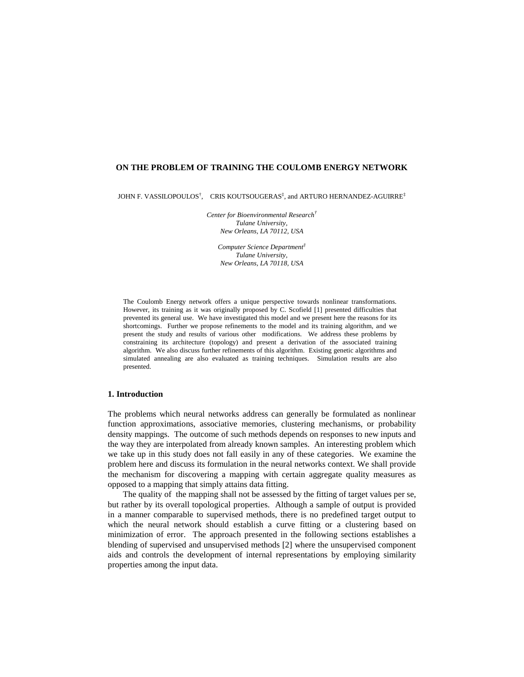### **ON THE PROBLEM OF TRAINING THE COULOMB ENERGY NETWORK**

JOHN F. VASSILOPOULOS $^\dagger$ ,  $\,$  CRIS KOUTSOUGERAS $^\ddagger$ , and ARTURO HERNANDEZ-AGUIRRE $^\ddagger$ 

*Center for Bioenvironmental Research† Tulane University, New Orleans, LA 70112, USA* 

> *Computer Science Department‡ Tulane University, New Orleans, LA 70118, USA*

The Coulomb Energy network offers a unique perspective towards nonlinear transformations. However, its training as it was originally proposed by C. Scofield [1] presented difficulties that prevented its general use. We have investigated this model and we present here the reasons for its shortcomings. Further we propose refinements to the model and its training algorithm, and we present the study and results of various other modifications. We address these problems by constraining its architecture (topology) and present a derivation of the associated training algorithm. We also discuss further refinements of this algorithm. Existing genetic algorithms and simulated annealing are also evaluated as training techniques. Simulation results are also presented.

# **1. Introduction**

The problems which neural networks address can generally be formulated as nonlinear function approximations, associative memories, clustering mechanisms, or probability density mappings. The outcome of such methods depends on responses to new inputs and the way they are interpolated from already known samples. An interesting problem which we take up in this study does not fall easily in any of these categories. We examine the problem here and discuss its formulation in the neural networks context. We shall provide the mechanism for discovering a mapping with certain aggregate quality measures as opposed to a mapping that simply attains data fitting.

 The quality of the mapping shall not be assessed by the fitting of target values per se, but rather by its overall topological properties. Although a sample of output is provided in a manner comparable to supervised methods, there is no predefined target output to which the neural network should establish a curve fitting or a clustering based on minimization of error. The approach presented in the following sections establishes a blending of supervised and unsupervised methods [2] where the unsupervised component aids and controls the development of internal representations by employing similarity properties among the input data.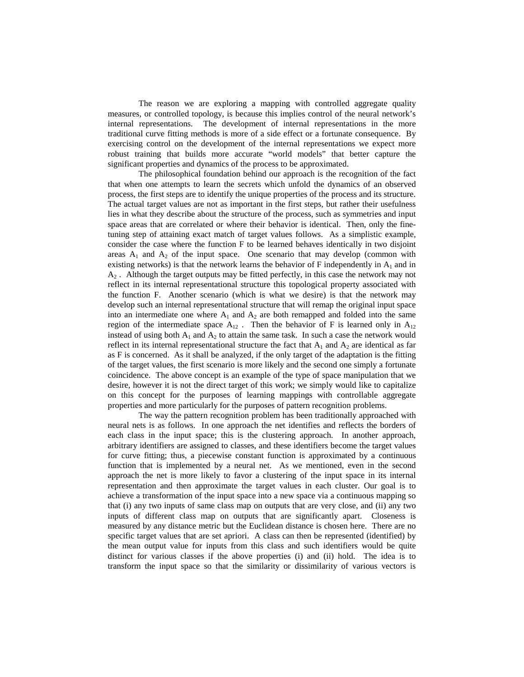The reason we are exploring a mapping with controlled aggregate quality measures, or controlled topology, is because this implies control of the neural network's internal representations. The development of internal representations in the more traditional curve fitting methods is more of a side effect or a fortunate consequence. By exercising control on the development of the internal representations we expect more robust training that builds more accurate "world models" that better capture the significant properties and dynamics of the process to be approximated.

 The philosophical foundation behind our approach is the recognition of the fact that when one attempts to learn the secrets which unfold the dynamics of an observed process, the first steps are to identify the unique properties of the process and its structure. The actual target values are not as important in the first steps, but rather their usefulness lies in what they describe about the structure of the process, such as symmetries and input space areas that are correlated or where their behavior is identical. Then, only the finetuning step of attaining exact match of target values follows. As a simplistic example, consider the case where the function F to be learned behaves identically in two disjoint areas  $A_1$  and  $A_2$  of the input space. One scenario that may develop (common with existing networks) is that the network learns the behavior of F independently in  $A_1$  and in  $A<sub>2</sub>$ . Although the target outputs may be fitted perfectly, in this case the network may not reflect in its internal representational structure this topological property associated with the function F. Another scenario (which is what we desire) is that the network may develop such an internal representational structure that will remap the original input space into an intermediate one where  $A_1$  and  $A_2$  are both remapped and folded into the same region of the intermediate space  $A_{12}$ . Then the behavior of F is learned only in  $A_{12}$ instead of using both  $A_1$  and  $A_2$  to attain the same task. In such a case the network would reflect in its internal representational structure the fact that  $A_1$  and  $A_2$  are identical as far as F is concerned. As it shall be analyzed, if the only target of the adaptation is the fitting of the target values, the first scenario is more likely and the second one simply a fortunate coincidence. The above concept is an example of the type of space manipulation that we desire, however it is not the direct target of this work; we simply would like to capitalize on this concept for the purposes of learning mappings with controllable aggregate properties and more particularly for the purposes of pattern recognition problems.

 The way the pattern recognition problem has been traditionally approached with neural nets is as follows. In one approach the net identifies and reflects the borders of each class in the input space; this is the clustering approach. In another approach, arbitrary identifiers are assigned to classes, and these identifiers become the target values for curve fitting; thus, a piecewise constant function is approximated by a continuous function that is implemented by a neural net. As we mentioned, even in the second approach the net is more likely to favor a clustering of the input space in its internal representation and then approximate the target values in each cluster. Our goal is to achieve a transformation of the input space into a new space via a continuous mapping so that (i) any two inputs of same class map on outputs that are very close, and (ii) any two inputs of different class map on outputs that are significantly apart. Closeness is measured by any distance metric but the Euclidean distance is chosen here. There are no specific target values that are set apriori. A class can then be represented (identified) by the mean output value for inputs from this class and such identifiers would be quite distinct for various classes if the above properties (i) and (ii) hold. The idea is to transform the input space so that the similarity or dissimilarity of various vectors is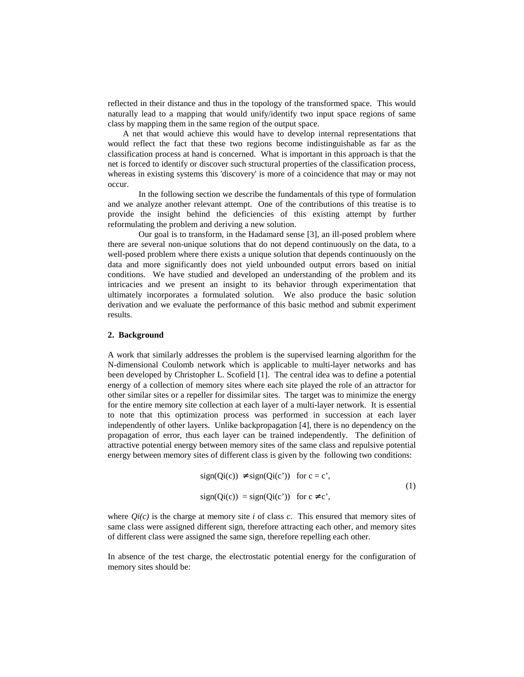reflected in their distance and thus in the topology of the transformed space. This would naturally lead to a mapping that would unify/identify two input space regions of same class by mapping them in the same region of the output space.

 A net that would achieve this would have to develop internal representations that would reflect the fact that these two regions become indistinguishable as far as the classification process at hand is concerned. What is important in this approach is that the net is forced to identify or discover such structural properties of the classification process, whereas in existing systems this 'discovery' is more of a coincidence that may or may not occur.

 In the following section we describe the fundamentals of this type of formulation and we analyze another relevant attempt. One of the contributions of this treatise is to provide the insight behind the deficiencies of this existing attempt by further reformulating the problem and deriving a new solution.

 Our goal is to transform, in the Hadamard sense [3], an ill-posed problem where there are several non-unique solutions that do not depend continuously on the data, to a well-posed problem where there exists a unique solution that depends continuously on the data and more significantly does not yield unbounded output errors based on initial conditions. We have studied and developed an understanding of the problem and its intricacies and we present an insight to its behavior through experimentation that ultimately incorporates a formulated solution. We also produce the basic solution derivation and we evaluate the performance of this basic method and submit experiment results.

#### **2. Background**

A work that similarly addresses the problem is the supervised learning algorithm for the N-dimensional Coulomb network which is applicable to multi-layer networks and has been developed by Christopher L. Scofield [1]. The central idea was to define a potential energy of a collection of memory sites where each site played the role of an attractor for other similar sites or a repeller for dissimilar sites. The target was to minimize the energy for the entire memory site collection at each layer of a multi-layer network. It is essential to note that this optimization process was performed in succession at each layer independently of other layers. Unlike backpropagation [4], there is no dependency on the propagation of error, thus each layer can be trained independently. The definition of attractive potential energy between memory sites of the same class and repulsive potential energy between memory sites of different class is given by the following two conditions:

$$
sign(Qi(c)) \neq sign(Qi(c')) \text{ for } c = c',
$$
  
\n
$$
sign(Qi(c)) = sign(Qi(c')) \text{ for } c \neq c',
$$
\n(1)

where  $Qi(c)$  is the charge at memory site *i* of class *c*. This ensured that memory sites of same class were assigned different sign, therefore attracting each other, and memory sites of different class were assigned the same sign, therefore repelling each other.

In absence of the test charge, the electrostatic potential energy for the configuration of memory sites should be: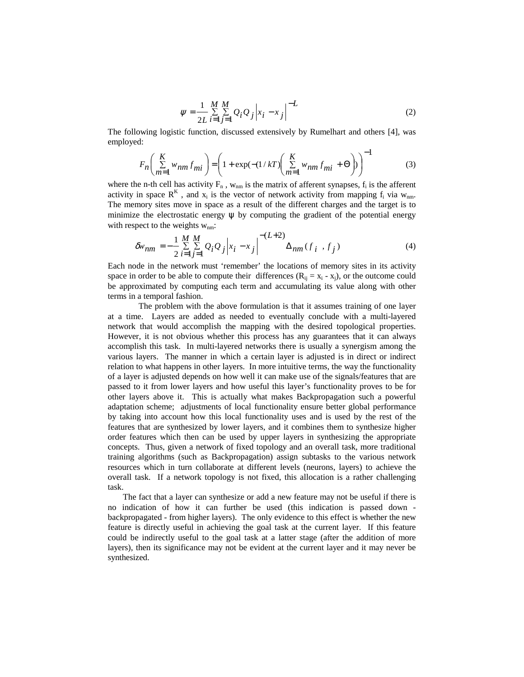$$
\psi = \frac{1}{2L} \sum_{i=1}^{M} \sum_{j=1}^{M} Q_i Q_j |x_i - x_j|^{-L}
$$
 (2)

The following logistic function, discussed extensively by Rumelhart and others [4], was employed:

$$
F_n\left(\sum_{m=1}^{K} w_{nm} f_{mi}\right) = \left(1 + \exp(-(1/kT)\left(\sum_{m=1}^{K} w_{nm} f_{mi} + \Theta\right)\right)^{-1}
$$
(3)

where the n-th cell has activity  $F_n$ ,  $w_{nm}$  is the matrix of afferent synapses,  $f_i$  is the afferent activity in space  $R^{K}$ , and  $x_i$  is the vector of network activity from mapping  $f_i$  via  $w_{nm}$ . The memory sites move in space as a result of the different charges and the target is to minimize the electrostatic energy  $\psi$  by computing the gradient of the potential energy with respect to the weights  $w_{nm}$ :

$$
\delta w_{nm} = -\frac{1}{2} \sum_{i=1}^{M} \sum_{j=1}^{M} Q_i Q_j \left| x_i - x_j \right|^{-(L+2)} \Delta_{nm}(f_i, f_j)
$$
(4)

Each node in the network must 'remember' the locations of memory sites in its activity space in order to be able to compute their differences  $(R_{ij} = x_i - x_j)$ , or the outcome could be approximated by computing each term and accumulating its value along with other terms in a temporal fashion.

 The problem with the above formulation is that it assumes training of one layer at a time. Layers are added as needed to eventually conclude with a multi-layered network that would accomplish the mapping with the desired topological properties. However, it is not obvious whether this process has any guarantees that it can always accomplish this task. In multi-layered networks there is usually a synergism among the various layers. The manner in which a certain layer is adjusted is in direct or indirect relation to what happens in other layers. In more intuitive terms, the way the functionality of a layer is adjusted depends on how well it can make use of the signals/features that are passed to it from lower layers and how useful this layer's functionality proves to be for other layers above it. This is actually what makes Backpropagation such a powerful adaptation scheme; adjustments of local functionality ensure better global performance by taking into account how this local functionality uses and is used by the rest of the features that are synthesized by lower layers, and it combines them to synthesize higher order features which then can be used by upper layers in synthesizing the appropriate concepts. Thus, given a network of fixed topology and an overall task, more traditional training algorithms (such as Backpropagation) assign subtasks to the various network resources which in turn collaborate at different levels (neurons, layers) to achieve the overall task. If a network topology is not fixed, this allocation is a rather challenging task.

 The fact that a layer can synthesize or add a new feature may not be useful if there is no indication of how it can further be used (this indication is passed down backpropagated - from higher layers). The only evidence to this effect is whether the new feature is directly useful in achieving the goal task at the current layer. If this feature could be indirectly useful to the goal task at a latter stage (after the addition of more layers), then its significance may not be evident at the current layer and it may never be synthesized.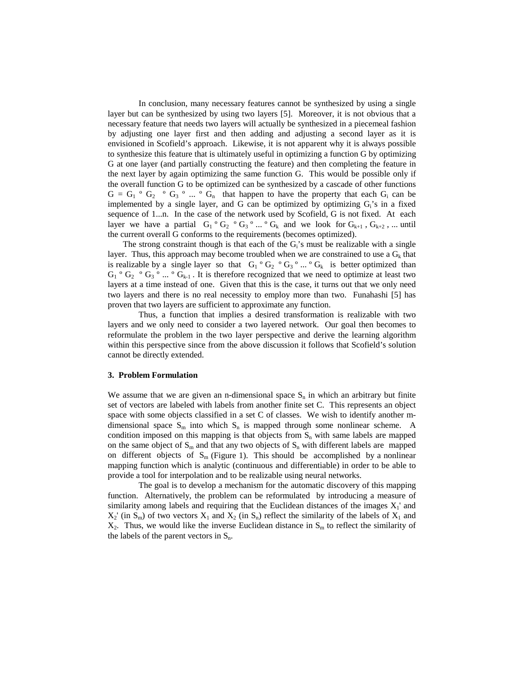In conclusion, many necessary features cannot be synthesized by using a single layer but can be synthesized by using two layers [5]. Moreover, it is not obvious that a necessary feature that needs two layers will actually be synthesized in a piecemeal fashion by adjusting one layer first and then adding and adjusting a second layer as it is envisioned in Scofield's approach. Likewise, it is not apparent why it is always possible to synthesize this feature that is ultimately useful in optimizing a function G by optimizing G at one layer (and partially constructing the feature) and then completing the feature in the next layer by again optimizing the same function G. This would be possible only if the overall function G to be optimized can be synthesized by a cascade of other functions  $G = G_1 \circ G_2 \circ G_3 \circ ... \circ G_n$  that happen to have the property that each  $G_i$  can be implemented by a single layer, and G can be optimized by optimizing  $G_i$ 's in a fixed sequence of 1...n. In the case of the network used by Scofield, G is not fixed. At each layer we have a partial  $G_1 \circ G_2 \circ G_3 \circ ... \circ G_k$  and we look for  $G_{k+1}$ ,  $G_{k+2}$ , ... until the current overall G conforms to the requirements (becomes optimized).

The strong constraint though is that each of the  $G_i$ 's must be realizable with a single layer. Thus, this approach may become troubled when we are constrained to use a  $G_k$  that is realizable by a single layer so that  $G_1 \circ G_2 \circ G_3 \circ ... \circ G_k$  is better optimized than  $G_1 \circ G_2 \circ G_3 \circ ... \circ G_{k-1}$ . It is therefore recognized that we need to optimize at least two layers at a time instead of one. Given that this is the case, it turns out that we only need two layers and there is no real necessity to employ more than two. Funahashi [5] has proven that two layers are sufficient to approximate any function.

 Thus, a function that implies a desired transformation is realizable with two layers and we only need to consider a two layered network. Our goal then becomes to reformulate the problem in the two layer perspective and derive the learning algorithm within this perspective since from the above discussion it follows that Scofield's solution cannot be directly extended.

### **3. Problem Formulation**

We assume that we are given an n-dimensional space  $S_n$  in which an arbitrary but finite set of vectors are labeled with labels from another finite set C. This represents an object space with some objects classified in a set C of classes. We wish to identify another mdimensional space  $S_m$  into which  $S_n$  is mapped through some nonlinear scheme. A condition imposed on this mapping is that objects from  $S_n$  with same labels are mapped on the same object of  $S_m$  and that any two objects of  $S_n$  with different labels are mapped on different objects of  $S_m$  (Figure 1). This should be accomplished by a nonlinear mapping function which is analytic (continuous and differentiable) in order to be able to provide a tool for interpolation and to be realizable using neural networks.

 The goal is to develop a mechanism for the automatic discovery of this mapping function. Alternatively, the problem can be reformulated by introducing a measure of similarity among labels and requiring that the Euclidean distances of the images  $X_1$ ' and  $X_2'$  (in  $S_m$ ) of two vectors  $X_1$  and  $X_2$  (in  $S_n$ ) reflect the similarity of the labels of  $X_1$  and  $X_2$ . Thus, we would like the inverse Euclidean distance in  $S_m$  to reflect the similarity of the labels of the parent vectors in  $S_n$ .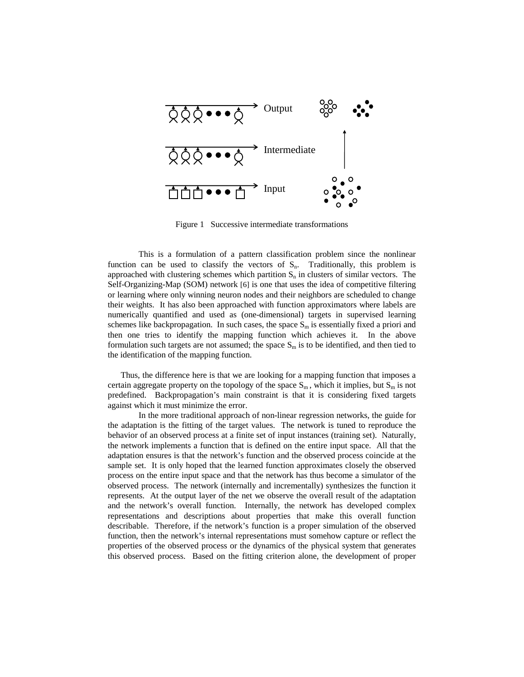

Figure 1 Successive intermediate transformations

 This is a formulation of a pattern classification problem since the nonlinear function can be used to classify the vectors of  $S_n$ . Traditionally, this problem is approached with clustering schemes which partition  $S_n$  in clusters of similar vectors. The Self-Organizing-Map (SOM) network [6] is one that uses the idea of competitive filtering or learning where only winning neuron nodes and their neighbors are scheduled to change their weights. It has also been approached with function approximators where labels are numerically quantified and used as (one-dimensional) targets in supervised learning schemes like backpropagation. In such cases, the space  $S_m$  is essentially fixed a priori and then one tries to identify the mapping function which achieves it. In the above formulation such targets are not assumed; the space  $S_m$  is to be identified, and then tied to the identification of the mapping function.

 Thus, the difference here is that we are looking for a mapping function that imposes a certain aggregate property on the topology of the space  $S_m$ , which it implies, but  $S_m$  is not predefined. Backpropagation's main constraint is that it is considering fixed targets against which it must minimize the error.

 In the more traditional approach of non-linear regression networks, the guide for the adaptation is the fitting of the target values. The network is tuned to reproduce the behavior of an observed process at a finite set of input instances (training set). Naturally, the network implements a function that is defined on the entire input space. All that the adaptation ensures is that the network's function and the observed process coincide at the sample set. It is only hoped that the learned function approximates closely the observed process on the entire input space and that the network has thus become a simulator of the observed process. The network (internally and incrementally) synthesizes the function it represents. At the output layer of the net we observe the overall result of the adaptation and the network's overall function. Internally, the network has developed complex representations and descriptions about properties that make this overall function describable. Therefore, if the network's function is a proper simulation of the observed function, then the network's internal representations must somehow capture or reflect the properties of the observed process or the dynamics of the physical system that generates this observed process. Based on the fitting criterion alone, the development of proper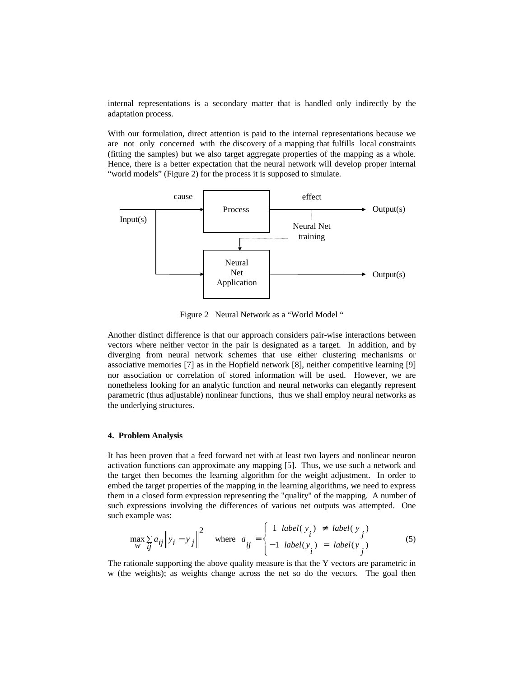internal representations is a secondary matter that is handled only indirectly by the adaptation process.

With our formulation, direct attention is paid to the internal representations because we are not only concerned with the discovery of a mapping that fulfills local constraints (fitting the samples) but we also target aggregate properties of the mapping as a whole. Hence, there is a better expectation that the neural network will develop proper internal "world models" (Figure 2) for the process it is supposed to simulate.



Figure 2 Neural Network as a "World Model "

Another distinct difference is that our approach considers pair-wise interactions between vectors where neither vector in the pair is designated as a target. In addition, and by diverging from neural network schemes that use either clustering mechanisms or associative memories [7] as in the Hopfield network [8], neither competitive learning [9] nor association or correlation of stored information will be used. However, we are nonetheless looking for an analytic function and neural networks can elegantly represent parametric (thus adjustable) nonlinear functions, thus we shall employ neural networks as the underlying structures.

## **4. Problem Analysis**

It has been proven that a feed forward net with at least two layers and nonlinear neuron activation functions can approximate any mapping [5]. Thus, we use such a network and the target then becomes the learning algorithm for the weight adjustment. In order to embed the target properties of the mapping in the learning algorithms, we need to express them in a closed form expression representing the "quality" of the mapping. A number of such expressions involving the differences of various net outputs was attempted. One such example was:

$$
\max_{W} \sum_{ij} a_{ij} \|y_i - y_j\|^2 \quad \text{where} \quad a_{ij} = \begin{cases} 1 \quad label(y_i) \neq label(y_j) \\ -1 \quad label(y_i) = label(y_j) \end{cases} \tag{5}
$$

The rationale supporting the above quality measure is that the Y vectors are parametric in w (the weights); as weights change across the net so do the vectors. The goal then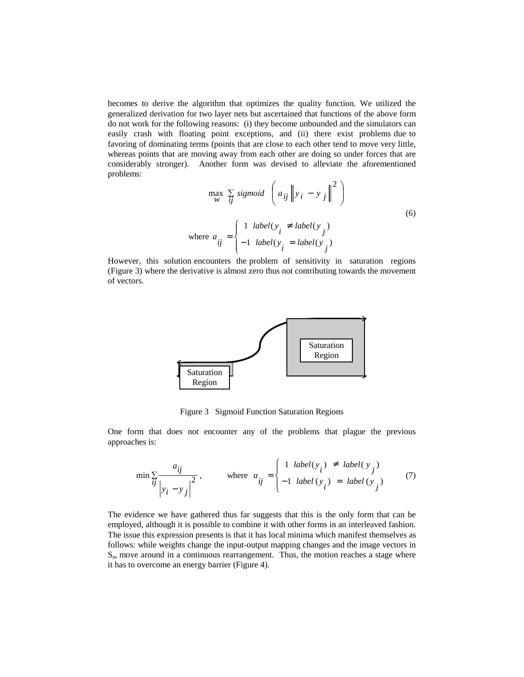becomes to derive the algorithm that optimizes the quality function. We utilized the generalized derivation for two layer nets but ascertained that functions of the above form do not work for the following reasons: (i) they become unbounded and the simulators can easily crash with floating point exceptions, and (ii) there exist problems due to favoring of dominating terms (points that are close to each other tend to move very little, whereas points that are moving away from each other are doing so under forces that are considerably stronger). Another form was devised to alleviate the aforementioned problems:

$$
\max_{W} \sum_{ij} sigmoid\left(a_{ij} \| y_i - y_j \|^2\right)
$$
  
(6)  
where  $a_{ij} = \begin{cases} 1 \text{ label}(y_i \neq label(y_j)) \\ -1 \text{ label}(y_i = label(y_j)) \end{cases}$ 

However, this solution encounters the problem of sensitivity in saturation regions (Figure 3) where the derivative is almost zero thus not contributing towards the movement of vectors.



Figure 3 Sigmoid Function Saturation Regions

One form that does not encounter any of the problems that plague the previous approaches is:

$$
\min \sum_{ij} \frac{a_{ij}}{|y_i - y_j|^2}, \quad \text{where} \quad a_{ij} = \begin{cases} 1 \text{ label}(y_i) \neq \text{ label}(y_j) \\ -1 \text{ label}(y_i) = \text{ label}(y_j) \end{cases} (7)
$$

The evidence we have gathered thus far suggests that this is the only form that can be employed, although it is possible to combine it with other forms in an interleaved fashion. The issue this expression presents is that it has local minima which manifest themselves as follows: while weights change the input-output mapping changes and the image vectors in  $S<sub>m</sub>$  move around in a continuous rearrangement. Thus, the motion reaches a stage where it has to overcome an energy barrier (Figure 4).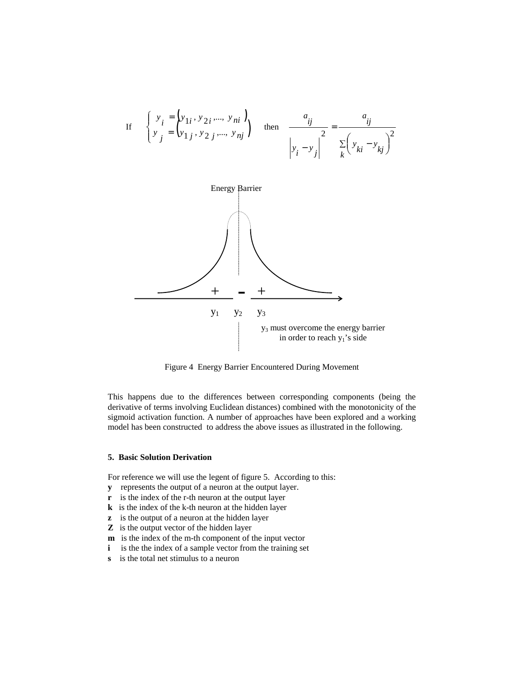



Figure 4 Energy Barrier Encountered During Movement

This happens due to the differences between corresponding components (being the derivative of terms involving Euclidean distances) combined with the monotonicity of the sigmoid activation function. A number of approaches have been explored and a working model has been constructed to address the above issues as illustrated in the following.

# **5. Basic Solution Derivation**

For reference we will use the legent of figure 5. According to this:

- **y** represents the output of a neuron at the output layer.
- **r** is the index of the r-th neuron at the output layer
- **k** is the index of the k-th neuron at the hidden layer
- **z** is the output of a neuron at the hidden layer
- **Z** is the output vector of the hidden layer
- **m** is the index of the m-th component of the input vector
- **i** is the the index of a sample vector from the training set
- **s** is the total net stimulus to a neuron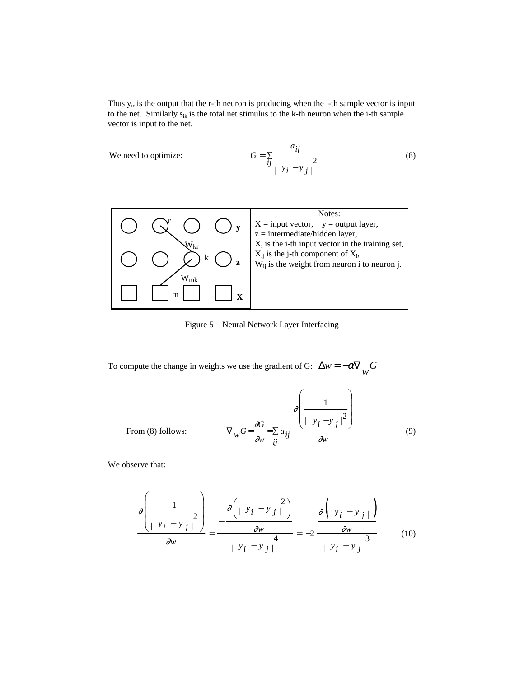Thus  $y_{ir}$  is the output that the r-th neuron is producing when the i-th sample vector is input to the net. Similarly  $s_{ik}$  is the total net stimulus to the k-th neuron when the i-th sample vector is input to the net.

We need to optimize:

$$
G = \sum_{ij} \frac{a_{ij}}{|y_i - y_j|} \tag{8}
$$



Figure 5 Neural Network Layer Interfacing

To compute the change in weights we use the gradient of G:  $\Delta w = -\alpha \nabla_{\mathcal{W}} G$ 

(8) follows: 
$$
\nabla_{w} G = \frac{\partial G}{\partial w} = \sum_{ij} a_{ij} \frac{\partial \left( \frac{1}{|y_{i} - y_{j}|^{2}} \right)}{\partial w}
$$
(9)

We observe that:

From

$$
\frac{\partial \left(\frac{1}{\left|y_{i}-y_{j}\right|^{2}}\right)}{\partial w} = \frac{-\frac{\partial \left(\left|y_{i}-y_{j}\right|^{2}\right)}{\partial w}}{\left|y_{i}-y_{j}\right|} = -2\frac{\frac{\partial \left(y_{i}-y_{j}\right)}{\partial w}}{\left|y_{i}-y_{j}\right|}
$$
(10)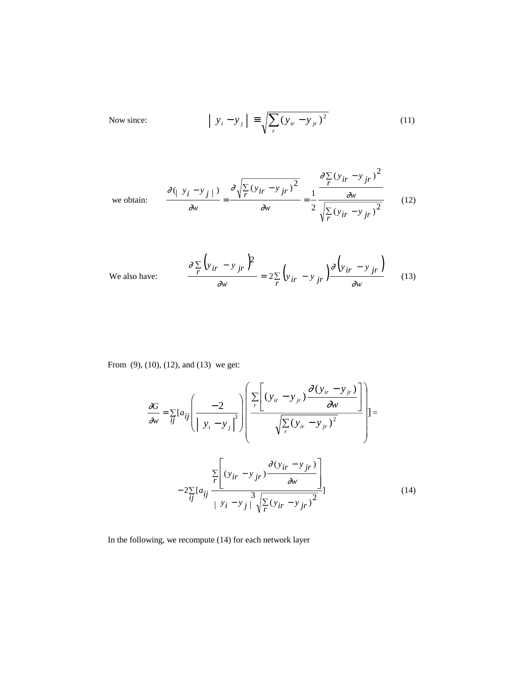Now since: 
$$
|y_i - y_j| \equiv \sqrt{\sum_r (y_{ir} - y_{jr})^2}
$$
 (11)

$$
\therefore \frac{\partial (\vert y_i - y_j \vert)}{\partial w} = \frac{\partial \sqrt{\sum_{r} (y_{ir} - y_{jr})^2}}{\partial w} = \frac{1}{2} \frac{\frac{\partial \sum_{r} (y_{ir} - y_{jr})^2}{\partial w}}{\sqrt{\sum_{r} (y_{ir} - y_{jr})^2}} \tag{12}
$$

we obtain

$$
\frac{\partial \sum_{r} \left( y_{ir} - y_{jr} \right)^2}{\partial w} = 2 \sum_{r} \left( y_{ir} - y_{jr} \right) \frac{\partial \left( y_{ir} - y_{jr} \right)}{\partial w} \tag{13}
$$

We also have:

From 
$$
(9)
$$
,  $(10)$ ,  $(12)$ , and  $(13)$  we get:

$$
\frac{\partial G}{\partial w} = \sum_{ij} \left[ a_{ij} \left( \frac{-2}{|y_i - y_j|^3} \right) \left( \frac{\sum_{r} \left[ (y_{ir} - y_{jr}) \frac{\partial (y_{ir} - y_{jr})}{\partial w} \right]}{\sqrt{\sum_{r} (y_{ir} - y_{jr})^2}} \right) \right] =
$$
\n
$$
-2 \sum_{ij} \left[ a_{ij} \frac{\sum_{r} \left[ (y_{ir} - y_{jr}) \frac{\partial (y_{ir} - y_{jr})}{\partial w} \right]}{\sqrt{\sum_{r} (y_{ir} - y_{jr})^2}} \right]
$$
\n
$$
(14)
$$

In the following, we recompute (14) for each network layer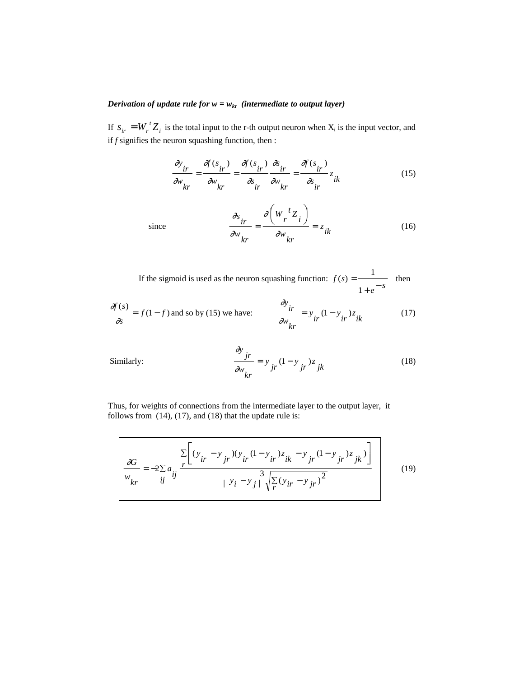# *Derivation of update rule for*  $w = w_{kr}$  (intermediate to output layer)

If  $s_{ir} = W_r^{\ t} Z_i$  is the total input to the r-th output neuron when  $X_i$  is the input vector, and if *f* signifies the neuron squashing function, then :

$$
\frac{\partial y_{ir}}{\partial w_{kr}} = \frac{\partial f(s_{ir})}{\partial w_{kr}} = \frac{\partial f(s_{ir})}{\partial s_{ir}} \frac{\partial s_{ir}}{\partial w_{kr}} = \frac{\partial f(s_{ir})}{\partial s_{ir}} z_{ik}
$$
(15)

since 
$$
\frac{\partial s_{ir}}{\partial w_{kr}} = \frac{\partial \left( W_r^{\ t} Z_i \right)}{\partial w_{kr}} = z_{ik}
$$
(16)

 If the sigmoid is used as the neuron squashing function:  $f(s) = \frac{1}{1+e^{-s}}$ 1  $(s) = \frac{1}{s}$  then

 $\overline{ }$ 

$$
\frac{\partial f(s)}{\partial s} = f(1 - f) \text{ and so by (15) we have:} \qquad \frac{\partial y_{ir}}{\partial w_{kr}} = y_{ir} (1 - y_{ir}) z_{ik}
$$
 (17)

Similarly:

$$
\frac{\partial y_{jr}}{\partial w_{kr}} = y_{jr} (1 - y_{jr}) z_{jk}
$$
\n(18)

Thus, for weights of connections from the intermediate layer to the output layer, it follows from (14), (17), and (18) that the update rule is:

$$
\frac{\partial G}{w_{kr}} = -2\sum a_{ij} \frac{r \left[ (y_{ir} - y_{jr})(y_{ir}(1 - y_{ir})z_{ik} - y_{jr}(1 - y_{jr})z_{jk}) \right]}{y_{i} - y_{j} \left| \sqrt{\sum_{r} (y_{ir} - y_{jr})^{2}} \right]}
$$
(19)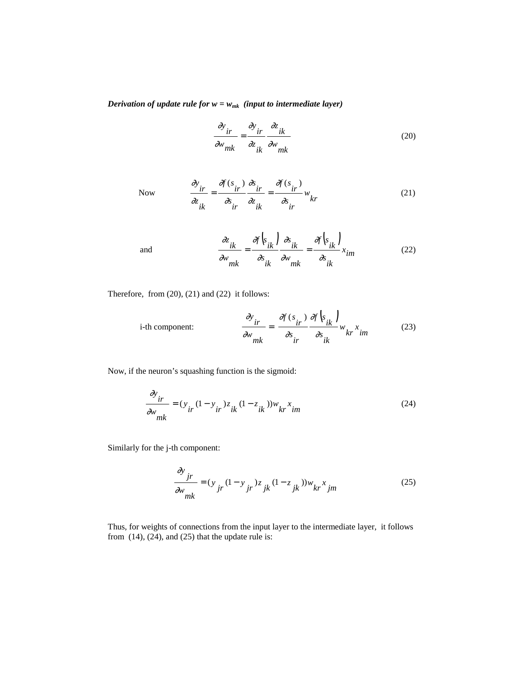*Derivation of update rule for*  $w = w_{mk}$  (input to intermediate layer)

$$
\frac{\partial y_{ir}}{\partial w_{mk}} = \frac{\partial y_{ir}}{\partial z_{ik}} \frac{\partial z_{ik}}{\partial w_{mk}}
$$
(20)

Now 
$$
\frac{\partial y_{ir}}{\partial z_{ik}} = \frac{\partial f(s_{ir})}{\partial s_{ir}} \frac{\partial s_{ir}}{\partial z_{ik}} = \frac{\partial f(s_{ir})}{\partial s_{ir}} w_{kr}
$$
(21)

and

$$
\frac{\partial z_{ik}}{\partial w_{mk}} = \frac{\partial f(s_{ik})}{\partial s_{ik}} \frac{\partial s_{ik}}{\partial w_{mk}} = \frac{\partial f(s_{ik})}{\partial s_{ik}} x_{im}
$$
(22)

Therefore, from (20), (21) and (22) it follows:

i-th component: 
$$
\frac{\partial y_{ir}}{\partial w_{mk}} = \frac{\partial f(s_{ir})}{\partial s_{ir}} \frac{\partial f(s_{ik})}{\partial s_{ik}} w_{kr} x_{im}
$$
(23)

Now, if the neuron's squashing function is the sigmoid:

$$
\frac{\partial y_{ir}}{\partial w_{mk}} = (y_{ir}(1 - y_{ir})z_{ik}(1 - z_{ik}))w_{kr}x_{im}
$$
\n(24)

Similarly for the j-th component:

$$
\frac{\partial y_{jr}}{\partial w_{mk}} = (y_{jr} (1 - y_{jr}) z_{jk} (1 - z_{jk})) w_{kr} x_{jm}
$$
\n(25)

Thus, for weights of connections from the input layer to the intermediate layer, it follows from  $(14)$ ,  $(24)$ , and  $(25)$  that the update rule is: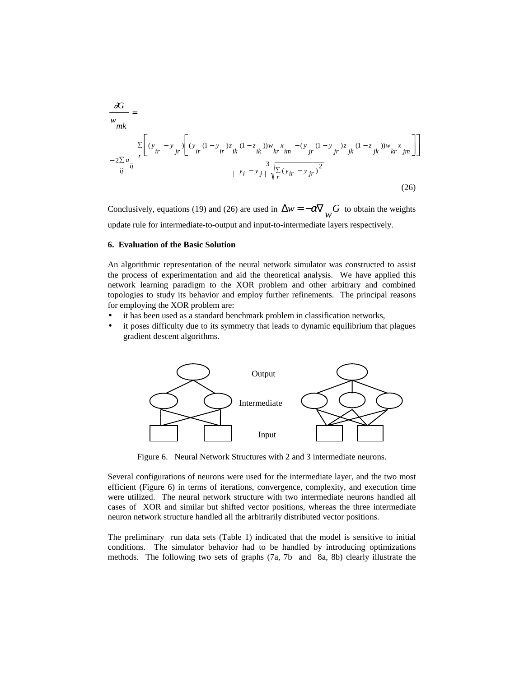∑ − ∑ − ∑ − − − − − − − = *ij <sup>r</sup> jr <sup>y</sup> ir <sup>y</sup> <sup>j</sup> <sup>y</sup> <sup>i</sup> <sup>y</sup> <sup>r</sup> jm x kr <sup>w</sup> jk <sup>z</sup> jk z jr <sup>y</sup> jr <sup>y</sup> im x kr <sup>w</sup> ik <sup>z</sup> ik z ir <sup>y</sup> ir <sup>y</sup> jr <sup>y</sup> ir y ij a mk w G* <sup>2</sup> ( ) <sup>|</sup> 3 ( ) ( (1 ) (1 )) ( (1 ) (1 )) 2 ∂ (26)

Conclusively, equations (19) and (26) are used in  $\Delta w = -\alpha \nabla \sqrt{G}$  to obtain the weights update rule for intermediate-to-output and input-to-intermediate layers respectively.

## **6. Evaluation of the Basic Solution**

An algorithmic representation of the neural network simulator was constructed to assist the process of experimentation and aid the theoretical analysis. We have applied this network learning paradigm to the XOR problem and other arbitrary and combined topologies to study its behavior and employ further refinements. The principal reasons for employing the XOR problem are:

- it has been used as a standard benchmark problem in classification networks,
- it poses difficulty due to its symmetry that leads to dynamic equilibrium that plagues gradient descent algorithms.



Figure 6. Neural Network Structures with 2 and 3 intermediate neurons.

Several configurations of neurons were used for the intermediate layer, and the two most efficient (Figure 6) in terms of iterations, convergence, complexity, and execution time were utilized. The neural network structure with two intermediate neurons handled all cases of XOR and similar but shifted vector positions, whereas the three intermediate neuron network structure handled all the arbitrarily distributed vector positions.

The preliminary run data sets (Table 1) indicated that the model is sensitive to initial conditions. The simulator behavior had to be handled by introducing optimizations methods. The following two sets of graphs (7a, 7b and 8a, 8b) clearly illustrate the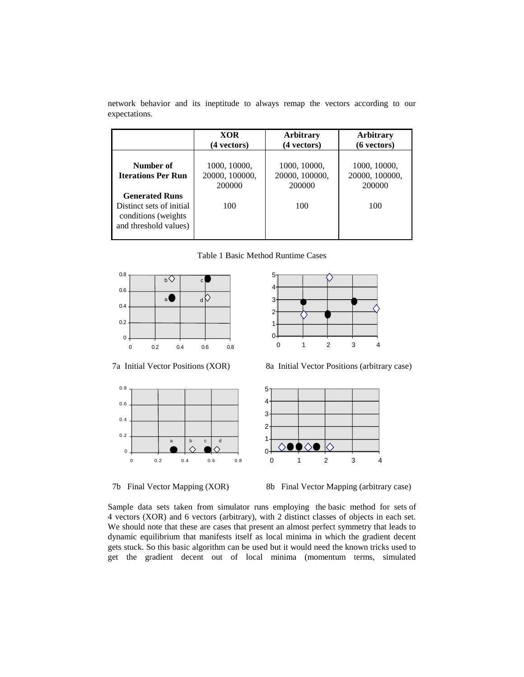|                                                                                                    | <b>XOR</b><br>(4 vectors)                | Arbitrary<br>(4 vectors)                 | Arbitrary<br>$(6 \text{ vectors})$       |
|----------------------------------------------------------------------------------------------------|------------------------------------------|------------------------------------------|------------------------------------------|
| Number of<br><b>Iterations Per Run</b>                                                             | 1000, 10000,<br>20000, 100000,<br>200000 | 1000, 10000,<br>20000, 100000,<br>200000 | 1000, 10000,<br>20000, 100000,<br>200000 |
| <b>Generated Runs</b><br>Distinct sets of initial<br>conditions (weights)<br>and threshold values) | 100                                      | 100                                      | 100                                      |

network behavior and its ineptitude to always remap the vectors according to our expectations.







7a Initial Vector Positions (XOR) 8a Initial Vector Positions (arbitrary case)





5



7b Final Vector Mapping (XOR) 8b Final Vector Mapping (arbitrary case)

Sample data sets taken from simulator runs employing the basic method for sets of 4 vectors (XOR) and 6 vectors (arbitrary), with 2 distinct classes of objects in each set. We should note that these are cases that present an almost perfect symmetry that leads to dynamic equilibrium that manifests itself as local minima in which the gradient decent gets stuck. So this basic algorithm can be used but it would need the known tricks used to get the gradient decent out of local minima (momentum terms, simulated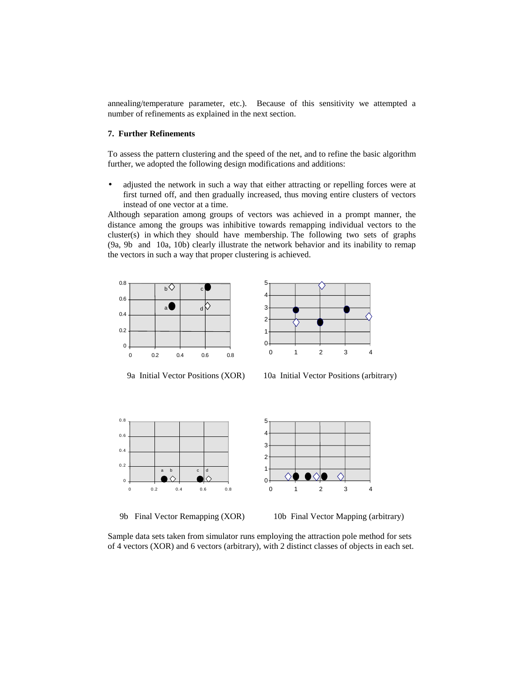annealing/temperature parameter, etc.). Because of this sensitivity we attempted a number of refinements as explained in the next section.

# **7. Further Refinements**

To assess the pattern clustering and the speed of the net, and to refine the basic algorithm further, we adopted the following design modifications and additions:

• adjusted the network in such a way that either attracting or repelling forces were at first turned off, and then gradually increased, thus moving entire clusters of vectors instead of one vector at a time.

Although separation among groups of vectors was achieved in a prompt manner, the distance among the groups was inhibitive towards remapping individual vectors to the cluster(s) in which they should have membership. The following two sets of graphs (9a, 9b and 10a, 10b) clearly illustrate the network behavior and its inability to remap the vectors in such a way that proper clustering is achieved.

5



 $\mathbf{0}$ 1 2 3 4 0 1 2 3 4







9b Final Vector Remapping (XOR) 10b Final Vector Mapping (arbitrary)

Sample data sets taken from simulator runs employing the attraction pole method for sets of 4 vectors (XOR) and 6 vectors (arbitrary), with 2 distinct classes of objects in each set.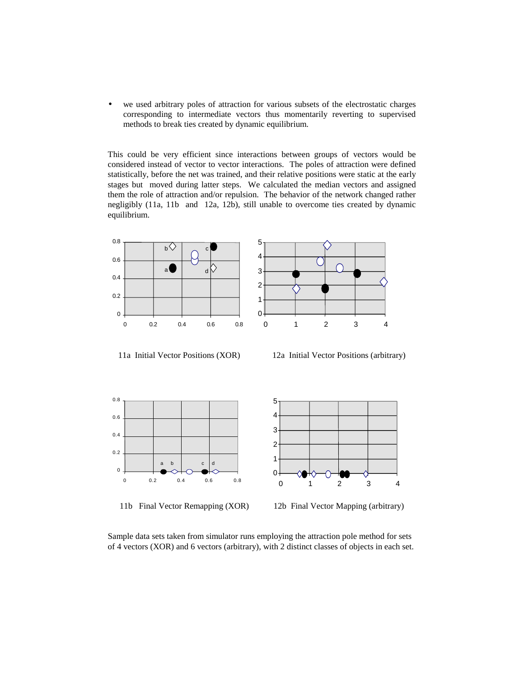• we used arbitrary poles of attraction for various subsets of the electrostatic charges corresponding to intermediate vectors thus momentarily reverting to supervised methods to break ties created by dynamic equilibrium.

This could be very efficient since interactions between groups of vectors would be considered instead of vector to vector interactions. The poles of attraction were defined statistically, before the net was trained, and their relative positions were static at the early stages but moved during latter steps. We calculated the median vectors and assigned them the role of attraction and/or repulsion. The behavior of the network changed rather negligibly (11a, 11b and 12a, 12b), still unable to overcome ties created by dynamic equilibrium.



11a Initial Vector Positions (XOR) 12a Initial Vector Positions (arbitrary)



11b Final Vector Remapping (XOR) 12b Final Vector Mapping (arbitrary)



Sample data sets taken from simulator runs employing the attraction pole method for sets of 4 vectors (XOR) and 6 vectors (arbitrary), with 2 distinct classes of objects in each set.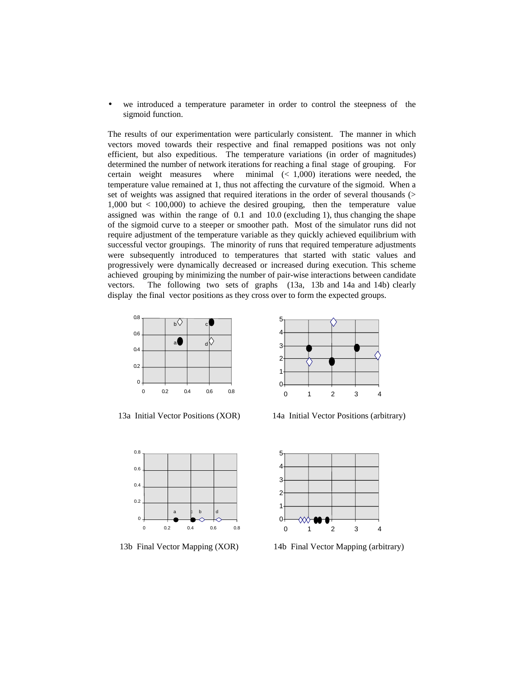• we introduced a temperature parameter in order to control the steepness of the sigmoid function.

The results of our experimentation were particularly consistent. The manner in which vectors moved towards their respective and final remapped positions was not only efficient, but also expeditious. The temperature variations (in order of magnitudes) determined the number of network iterations for reaching a final stage of grouping. For certain weight measures where minimal (< 1,000) iterations were needed, the temperature value remained at 1, thus not affecting the curvature of the sigmoid. When a set of weights was assigned that required iterations in the order of several thousands (> 1,000 but < 100,000) to achieve the desired grouping, then the temperature value assigned was within the range of 0.1 and 10.0 (excluding 1), thus changing the shape of the sigmoid curve to a steeper or smoother path. Most of the simulator runs did not require adjustment of the temperature variable as they quickly achieved equilibrium with successful vector groupings. The minority of runs that required temperature adjustments were subsequently introduced to temperatures that started with static values and progressively were dynamically decreased or increased during execution. This scheme achieved grouping by minimizing the number of pair-wise interactions between candidate vectors. The following two sets of graphs (13a, 13b and 14a and 14b) clearly display the final vector positions as they cross over to form the expected groups.



13a Initial Vector Positions (XOR) 14a Initial Vector Positions (arbitrary)







13b Final Vector Mapping (XOR) 14b Final Vector Mapping (arbitrary)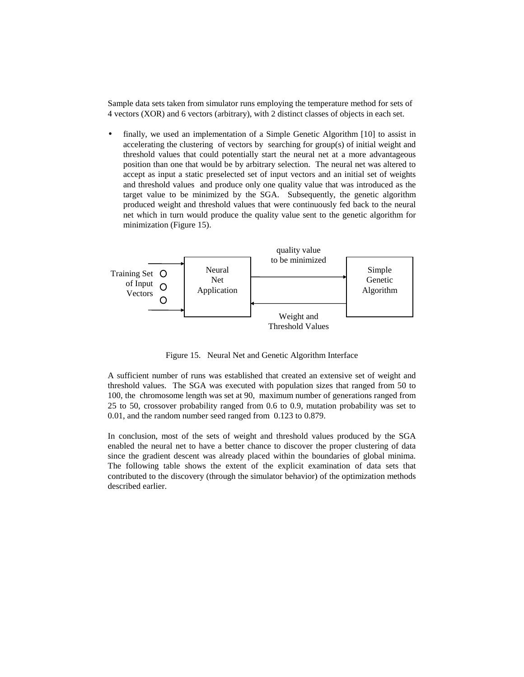Sample data sets taken from simulator runs employing the temperature method for sets of 4 vectors (XOR) and 6 vectors (arbitrary), with 2 distinct classes of objects in each set.

• finally, we used an implementation of a Simple Genetic Algorithm [10] to assist in accelerating the clustering of vectors by searching for group(s) of initial weight and threshold values that could potentially start the neural net at a more advantageous position than one that would be by arbitrary selection. The neural net was altered to accept as input a static preselected set of input vectors and an initial set of weights and threshold values and produce only one quality value that was introduced as the target value to be minimized by the SGA. Subsequently, the genetic algorithm produced weight and threshold values that were continuously fed back to the neural net which in turn would produce the quality value sent to the genetic algorithm for minimization (Figure 15).



Figure 15. Neural Net and Genetic Algorithm Interface

A sufficient number of runs was established that created an extensive set of weight and threshold values. The SGA was executed with population sizes that ranged from 50 to 100, the chromosome length was set at 90, maximum number of generations ranged from 25 to 50, crossover probability ranged from 0.6 to 0.9, mutation probability was set to 0.01, and the random number seed ranged from 0.123 to 0.879.

In conclusion, most of the sets of weight and threshold values produced by the SGA enabled the neural net to have a better chance to discover the proper clustering of data since the gradient descent was already placed within the boundaries of global minima. The following table shows the extent of the explicit examination of data sets that contributed to the discovery (through the simulator behavior) of the optimization methods described earlier.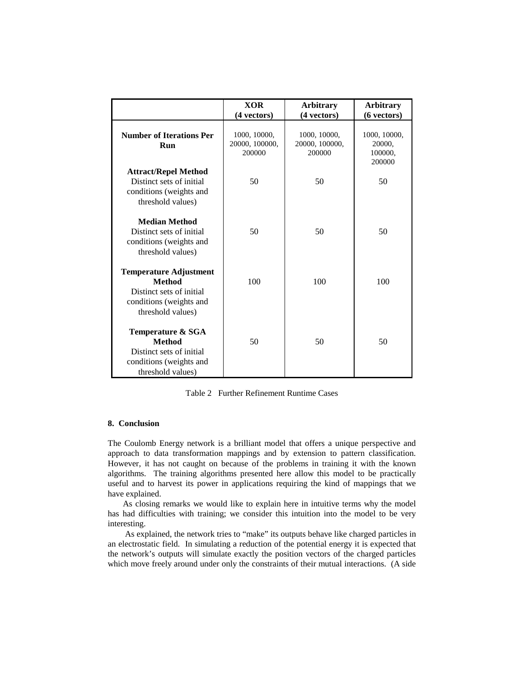|                                                                                                                            | <b>XOR</b><br>(4 vectors)                | Arbitrary<br>(4 vectors)                 | Arbitrary<br>(6 vectors)                    |
|----------------------------------------------------------------------------------------------------------------------------|------------------------------------------|------------------------------------------|---------------------------------------------|
| <b>Number of Iterations Per</b><br>Run                                                                                     | 1000, 10000,<br>20000, 100000,<br>200000 | 1000, 10000,<br>20000, 100000,<br>200000 | 1000, 10000,<br>20000,<br>100000.<br>200000 |
| <b>Attract/Repel Method</b><br>Distinct sets of initial<br>conditions (weights and<br>threshold values)                    | 50                                       | 50                                       | 50                                          |
| <b>Median Method</b><br>Distinct sets of initial<br>conditions (weights and<br>threshold values)                           | 50                                       | 50                                       | 50                                          |
| <b>Temperature Adjustment</b><br><b>Method</b><br>Distinct sets of initial<br>conditions (weights and<br>threshold values) | 100                                      | 100                                      | 100                                         |
| Temperature & SGA<br><b>Method</b><br>Distinct sets of initial<br>conditions (weights and<br>threshold values)             | 50                                       | 50                                       | 50                                          |

Table 2 Further Refinement Runtime Cases

# **8. Conclusion**

The Coulomb Energy network is a brilliant model that offers a unique perspective and approach to data transformation mappings and by extension to pattern classification. However, it has not caught on because of the problems in training it with the known algorithms. The training algorithms presented here allow this model to be practically useful and to harvest its power in applications requiring the kind of mappings that we have explained.

 As closing remarks we would like to explain here in intuitive terms why the model has had difficulties with training; we consider this intuition into the model to be very interesting.

 As explained, the network tries to "make" its outputs behave like charged particles in an electrostatic field. In simulating a reduction of the potential energy it is expected that the network's outputs will simulate exactly the position vectors of the charged particles which move freely around under only the constraints of their mutual interactions. (A side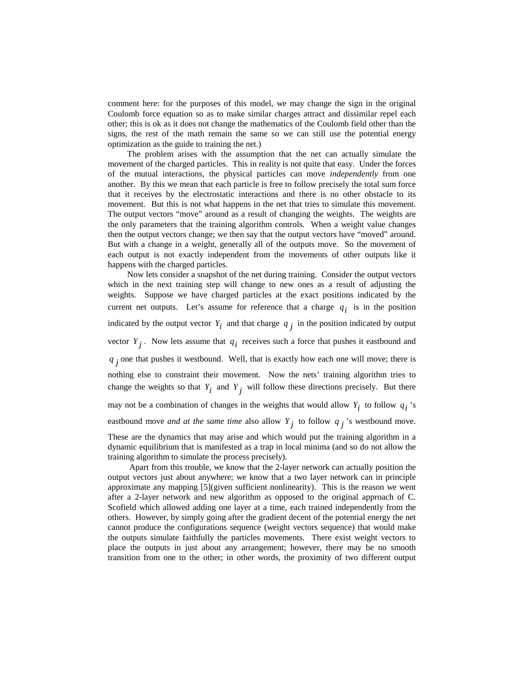comment here: for the purposes of this model, we may change the sign in the original Coulomb force equation so as to make similar charges attract and dissimilar repel each other; this is ok as it does not change the mathematics of the Coulomb field other than the signs, the rest of the math remain the same so we can still use the potential energy optimization as the guide to training the net.)

 The problem arises with the assumption that the net can actually simulate the movement of the charged particles. This in reality is not quite that easy. Under the forces of the mutual interactions, the physical particles can move *independently* from one another. By this we mean that each particle is free to follow precisely the total sum force that it receives by the electrostatic interactions and there is no other obstacle to its movement. But this is not what happens in the net that tries to simulate this movement. The output vectors "move" around as a result of changing the weights. The weights are the only parameters that the training algorithm controls. When a weight value changes then the output vectors change; we then say that the output vectors have "moved" around. But with a change in a weight, generally all of the outputs move. So the movement of each output is not exactly independent from the movements of other outputs like it happens with the charged particles.

 Now lets consider a snapshot of the net during training. Consider the output vectors which in the next training step will change to new ones as a result of adjusting the weights. Suppose we have charged particles at the exact positions indicated by the current net outputs. Let's assume for reference that a charge  $q_i$  is in the position indicated by the output vector  $Y_i$  and that charge  $q_j$  in the position indicated by output vector  $Y_i$ . Now lets assume that  $q_i$  receives such a force that pushes it eastbound and *j q* one that pushes it westbound. Well, that is exactly how each one will move; there is nothing else to constraint their movement. Now the nets' training algorithm tries to change the weights so that  $Y_i$  and  $Y_j$  will follow these directions precisely. But there may not be a combination of changes in the weights that would allow  $Y_i$  to follow  $q_i$ 's eastbound move *and at the same time* also allow  $Y_j$  to follow  $q_j$ 's westbound move. These are the dynamics that may arise and which would put the training algorithm in a dynamic equilibrium that is manifested as a trap in local minima (and so do not allow the training algorithm to simulate the process precisely).

 Apart from this trouble, we know that the 2-layer network can actually position the output vectors just about anywhere; we know that a two layer network can in principle approximate any mapping [5](given sufficient nonlinearity). This is the reason we went after a 2-layer network and new algorithm as opposed to the original approach of C. Scofield which allowed adding one layer at a time, each trained independently from the others. However, by simply going after the gradient decent of the potential energy the net cannot produce the configurations sequence (weight vectors sequence) that would make the outputs simulate faithfully the particles movements. There exist weight vectors to place the outputs in just about any arrangement; however, there may be no smooth transition from one to the other; in other words, the proximity of two different output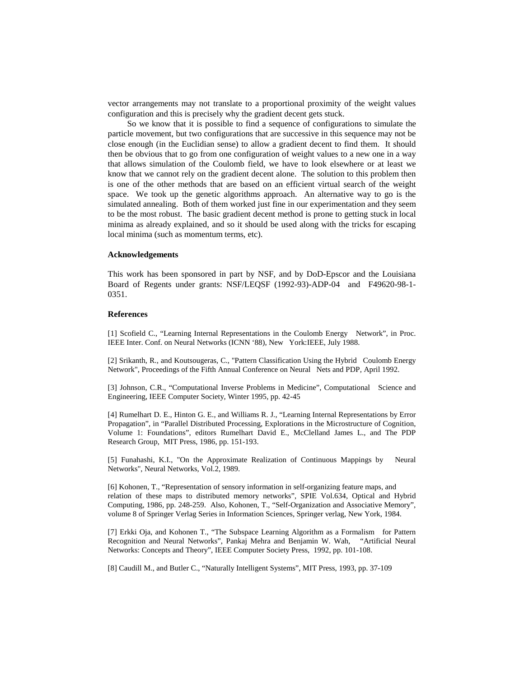vector arrangements may not translate to a proportional proximity of the weight values configuration and this is precisely why the gradient decent gets stuck.

 So we know that it is possible to find a sequence of configurations to simulate the particle movement, but two configurations that are successive in this sequence may not be close enough (in the Euclidian sense) to allow a gradient decent to find them. It should then be obvious that to go from one configuration of weight values to a new one in a way that allows simulation of the Coulomb field, we have to look elsewhere or at least we know that we cannot rely on the gradient decent alone. The solution to this problem then is one of the other methods that are based on an efficient virtual search of the weight space. We took up the genetic algorithms approach. An alternative way to go is the simulated annealing. Both of them worked just fine in our experimentation and they seem to be the most robust. The basic gradient decent method is prone to getting stuck in local minima as already explained, and so it should be used along with the tricks for escaping local minima (such as momentum terms, etc).

### **Acknowledgements**

This work has been sponsored in part by NSF, and by DoD-Epscor and the Louisiana Board of Regents under grants: NSF/LEQSF (1992-93)-ADP-04 and F49620-98-1- 0351.

## **References**

[1] Scofield C., "Learning Internal Representations in the Coulomb Energy Network", in Proc. IEEE Inter. Conf. on Neural Networks (ICNN '88), New York:IEEE, July 1988.

[2] Srikanth, R., and Koutsougeras, C., "Pattern Classification Using the Hybrid Coulomb Energy Network", Proceedings of the Fifth Annual Conference on Neural Nets and PDP, April 1992.

[3] Johnson, C.R., "Computational Inverse Problems in Medicine", Computational Science and Engineering, IEEE Computer Society, Winter 1995, pp. 42-45

[4] Rumelhart D. E., Hinton G. E., and Williams R. J., "Learning Internal Representations by Error Propagation", in "Parallel Distributed Processing, Explorations in the Microstructure of Cognition, Volume 1: Foundations", editors Rumelhart David E., McClelland James L., and The PDP Research Group, MIT Press, 1986, pp. 151-193.

[5] Funahashi, K.I., "On the Approximate Realization of Continuous Mappings by Neural Networks", Neural Networks, Vol.2, 1989.

[6] Kohonen, T., "Representation of sensory information in self-organizing feature maps, and relation of these maps to distributed memory networks", SPIE Vol.634, Optical and Hybrid Computing, 1986, pp. 248-259. Also, Kohonen, T., "Self-Organization and Associative Memory", volume 8 of Springer Verlag Series in Information Sciences, Springer verlag, New York, 1984.

[7] Erkki Oja, and Kohonen T., "The Subspace Learning Algorithm as a Formalism for Pattern Recognition and Neural Networks", Pankaj Mehra and Benjamin W. Wah, "Artificial Neural Networks: Concepts and Theory", IEEE Computer Society Press, 1992, pp. 101-108.

[8] Caudill M., and Butler C., "Naturally Intelligent Systems", MIT Press, 1993, pp. 37-109